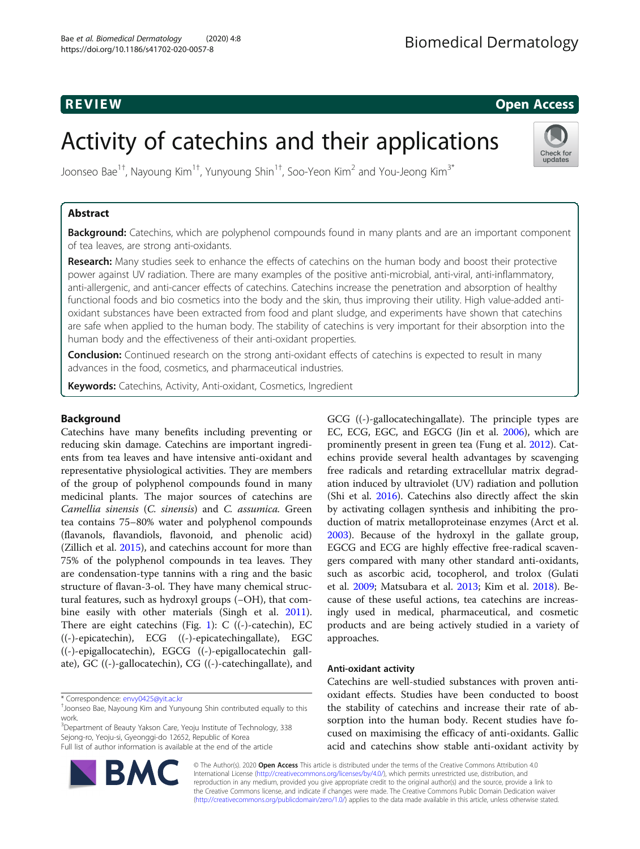# R EVI EW Open Access

Check for updates

# Activity of catechins and their applications

Joonseo Bae $^{1\dagger}$ , Nayoung Kim $^{1\dagger}$ , Yunyoung Shin $^{1\dagger}$ , Soo-Yeon Kim $^2$  and You-Jeong Kim $^{3^\ast}$ 

# Abstract

Background: Catechins, which are polyphenol compounds found in many plants and are an important component of tea leaves, are strong anti-oxidants.

Research: Many studies seek to enhance the effects of catechins on the human body and boost their protective power against UV radiation. There are many examples of the positive anti-microbial, anti-viral, anti-inflammatory, anti-allergenic, and anti-cancer effects of catechins. Catechins increase the penetration and absorption of healthy functional foods and bio cosmetics into the body and the skin, thus improving their utility. High value-added antioxidant substances have been extracted from food and plant sludge, and experiments have shown that catechins are safe when applied to the human body. The stability of catechins is very important for their absorption into the human body and the effectiveness of their anti-oxidant properties.

**Conclusion:** Continued research on the strong anti-oxidant effects of catechins is expected to result in many advances in the food, cosmetics, and pharmaceutical industries.

Keywords: Catechins, Activity, Anti-oxidant, Cosmetics, Ingredient

# Background

Catechins have many benefits including preventing or reducing skin damage. Catechins are important ingredients from tea leaves and have intensive anti-oxidant and representative physiological activities. They are members of the group of polyphenol compounds found in many medicinal plants. The major sources of catechins are Camellia sinensis (C. sinensis) and C. assumica. Green tea contains 75–80% water and polyphenol compounds (flavanols, flavandiols, flavonoid, and phenolic acid) (Zillich et al. [2015](#page-9-0)), and catechins account for more than 75% of the polyphenol compounds in tea leaves. They are condensation-type tannins with a ring and the basic structure of flavan-3-ol. They have many chemical structural features, such as hydroxyl groups (−OH), that combine easily with other materials (Singh et al. [2011](#page-9-0)). There are eight catechins (Fig. [1\)](#page-2-0):  $C$  ((-)-catechin), EC ((-)-epicatechin), ECG ((-)-epicatechingallate), EGC ((-)-epigallocatechin), EGCG ((-)-epigallocatechin gallate), GC ((-)-gallocatechin), CG ((-)-catechingallate), and

<sup>3</sup>Department of Beauty Yakson Care, Yeoju Institute of Technology, 338 Sejong-ro, Yeoju-si, Gyeonggi-do 12652, Republic of Korea Full list of author information is available at the end of the article



GCG ((-)-gallocatechingallate). The principle types are EC, ECG, EGC, and EGCG (Jin et al. [2006\)](#page-8-0), which are prominently present in green tea (Fung et al. [2012](#page-8-0)). Catechins provide several health advantages by scavenging free radicals and retarding extracellular matrix degradation induced by ultraviolet (UV) radiation and pollution (Shi et al. [2016\)](#page-8-0). Catechins also directly affect the skin by activating collagen synthesis and inhibiting the production of matrix metalloproteinase enzymes (Arct et al. [2003](#page-7-0)). Because of the hydroxyl in the gallate group, EGCG and ECG are highly effective free-radical scavengers compared with many other standard anti-oxidants, such as ascorbic acid, tocopherol, and trolox (Gulati et al. [2009](#page-8-0); Matsubara et al. [2013](#page-8-0); Kim et al. [2018\)](#page-8-0). Because of these useful actions, tea catechins are increasingly used in medical, pharmaceutical, and cosmetic products and are being actively studied in a variety of approaches.

# Anti-oxidant activity

Catechins are well-studied substances with proven antioxidant effects. Studies have been conducted to boost the stability of catechins and increase their rate of absorption into the human body. Recent studies have focused on maximising the efficacy of anti-oxidants. Gallic acid and catechins show stable anti-oxidant activity by

© The Author(s). 2020 Open Access This article is distributed under the terms of the Creative Commons Attribution 4.0 International License [\(http://creativecommons.org/licenses/by/4.0/](http://creativecommons.org/licenses/by/4.0/)), which permits unrestricted use, distribution, and reproduction in any medium, provided you give appropriate credit to the original author(s) and the source, provide a link to the Creative Commons license, and indicate if changes were made. The Creative Commons Public Domain Dedication waiver [\(http://creativecommons.org/publicdomain/zero/1.0/](http://creativecommons.org/publicdomain/zero/1.0/)) applies to the data made available in this article, unless otherwise stated.

<sup>\*</sup> Correspondence: [envy0425@yit.ac.kr](mailto:envy0425@yit.ac.kr) †

Joonseo Bae, Nayoung Kim and Yunyoung Shin contributed equally to this work.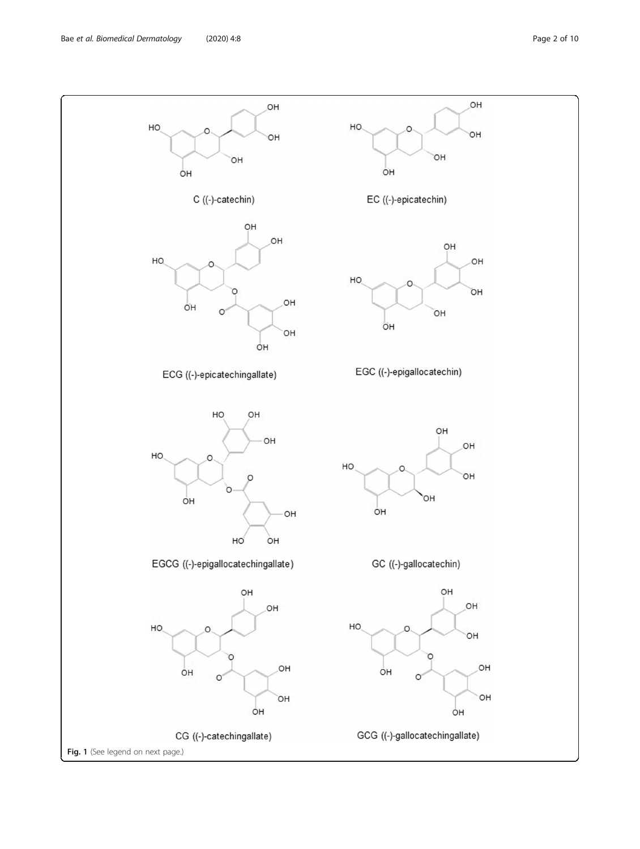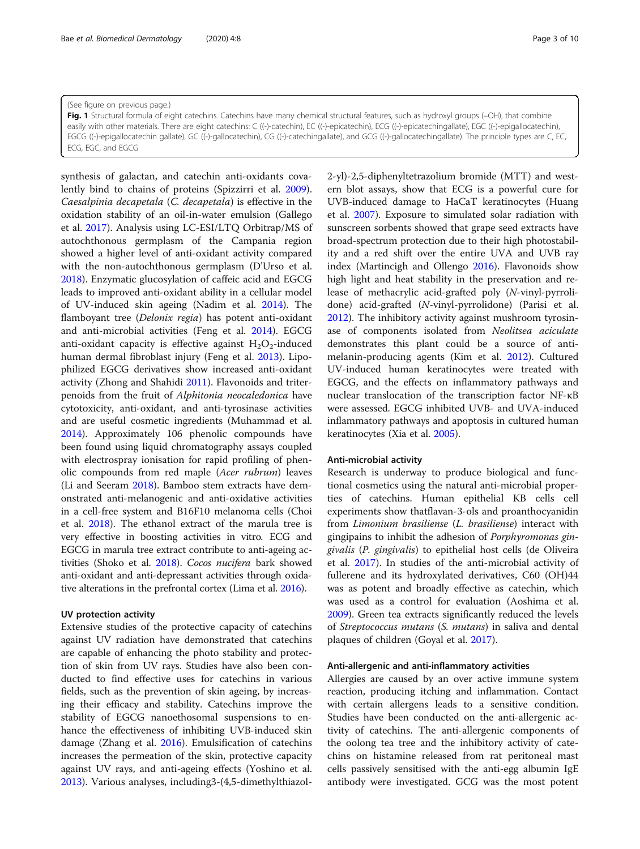<span id="page-2-0"></span>(See figure on previous page.) Fig. 1 Structural formula of eight catechins. Catechins have many chemical structural features, such as hydroxyl groups (-OH), that combine easily with other materials. There are eight catechins: C ((-)-catechin), EC ((-)-epicatechin), ECG ((-)-epicatechingallate), EGC ((-)-epigallocatechin), EGCG ((-)-epigallocatechin gallate), GC ((-)-gallocatechin), CG ((-)-catechingallate), and GCG ((-)-gallocatechingallate). The principle types are C, EC, ECG, EGC, and EGCG

synthesis of galactan, and catechin anti-oxidants covalently bind to chains of proteins (Spizzirri et al. [2009](#page-9-0)). Caesalpinia decapetala (C. decapetala) is effective in the oxidation stability of an oil-in-water emulsion (Gallego et al. [2017](#page-8-0)). Analysis using LC-ESI/LTQ Orbitrap/MS of autochthonous germplasm of the Campania region showed a higher level of anti-oxidant activity compared with the non-autochthonous germplasm (D'Urso et al. [2018](#page-7-0)). Enzymatic glucosylation of caffeic acid and EGCG leads to improved anti-oxidant ability in a cellular model of UV-induced skin ageing (Nadim et al. [2014](#page-8-0)). The flamboyant tree (Delonix regia) has potent anti-oxidant and anti-microbial activities (Feng et al. [2014\)](#page-7-0). EGCG anti-oxidant capacity is effective against  $H_2O_2$ -induced human dermal fibroblast injury (Feng et al. [2013\)](#page-7-0). Lipophilized EGCG derivatives show increased anti-oxidant activity (Zhong and Shahidi [2011\)](#page-9-0). Flavonoids and triterpenoids from the fruit of Alphitonia neocaledonica have cytotoxicity, anti-oxidant, and anti-tyrosinase activities and are useful cosmetic ingredients (Muhammad et al. [2014](#page-8-0)). Approximately 106 phenolic compounds have been found using liquid chromatography assays coupled with electrospray ionisation for rapid profiling of phenolic compounds from red maple (Acer rubrum) leaves (Li and Seeram [2018\)](#page-8-0). Bamboo stem extracts have demonstrated anti-melanogenic and anti-oxidative activities in a cell-free system and B16F10 melanoma cells (Choi et al. [2018](#page-7-0)). The ethanol extract of the marula tree is very effective in boosting activities in vitro. ECG and EGCG in marula tree extract contribute to anti-ageing activities (Shoko et al. [2018](#page-9-0)). Cocos nucifera bark showed anti-oxidant and anti-depressant activities through oxidative alterations in the prefrontal cortex (Lima et al. [2016](#page-8-0)).

# UV protection activity

Extensive studies of the protective capacity of catechins against UV radiation have demonstrated that catechins are capable of enhancing the photo stability and protection of skin from UV rays. Studies have also been conducted to find effective uses for catechins in various fields, such as the prevention of skin ageing, by increasing their efficacy and stability. Catechins improve the stability of EGCG nanoethosomal suspensions to enhance the effectiveness of inhibiting UVB-induced skin damage (Zhang et al. [2016](#page-9-0)). Emulsification of catechins increases the permeation of the skin, protective capacity against UV rays, and anti-ageing effects (Yoshino et al. [2013](#page-9-0)). Various analyses, including3-(4,5-dimethylthiazol2-yl)-2,5-diphenyltetrazolium bromide (MTT) and western blot assays, show that ECG is a powerful cure for UVB-induced damage to HaCaT keratinocytes (Huang et al. [2007](#page-8-0)). Exposure to simulated solar radiation with sunscreen sorbents showed that grape seed extracts have broad-spectrum protection due to their high photostability and a red shift over the entire UVA and UVB ray index (Martincigh and Ollengo [2016\)](#page-8-0). Flavonoids show high light and heat stability in the preservation and release of methacrylic acid-grafted poly (N-vinyl-pyrrolidone) acid-grafted (N-vinyl-pyrrolidone) (Parisi et al. [2012](#page-8-0)). The inhibitory activity against mushroom tyrosinase of components isolated from Neolitsea aciculate demonstrates this plant could be a source of antimelanin-producing agents (Kim et al. [2012\)](#page-8-0). Cultured UV-induced human keratinocytes were treated with EGCG, and the effects on inflammatory pathways and nuclear translocation of the transcription factor NF-κB were assessed. EGCG inhibited UVB- and UVA-induced inflammatory pathways and apoptosis in cultured human keratinocytes (Xia et al. [2005](#page-9-0)).

## Anti-microbial activity

Research is underway to produce biological and functional cosmetics using the natural anti-microbial properties of catechins. Human epithelial KB cells cell experiments show thatflavan-3-ols and proanthocyanidin from Limonium brasiliense (L. brasiliense) interact with gingipains to inhibit the adhesion of Porphyromonas gingivalis (P. gingivalis) to epithelial host cells (de Oliveira et al. [2017\)](#page-7-0). In studies of the anti-microbial activity of fullerene and its hydroxylated derivatives, C60 (OH)44 was as potent and broadly effective as catechin, which was used as a control for evaluation (Aoshima et al. [2009](#page-7-0)). Green tea extracts significantly reduced the levels of Streptococcus mutans (S. mutans) in saliva and dental plaques of children (Goyal et al. [2017\)](#page-8-0).

# Anti-allergenic and anti-inflammatory activities

Allergies are caused by an over active immune system reaction, producing itching and inflammation. Contact with certain allergens leads to a sensitive condition. Studies have been conducted on the anti-allergenic activity of catechins. The anti-allergenic components of the oolong tea tree and the inhibitory activity of catechins on histamine released from rat peritoneal mast cells passively sensitised with the anti-egg albumin IgE antibody were investigated. GCG was the most potent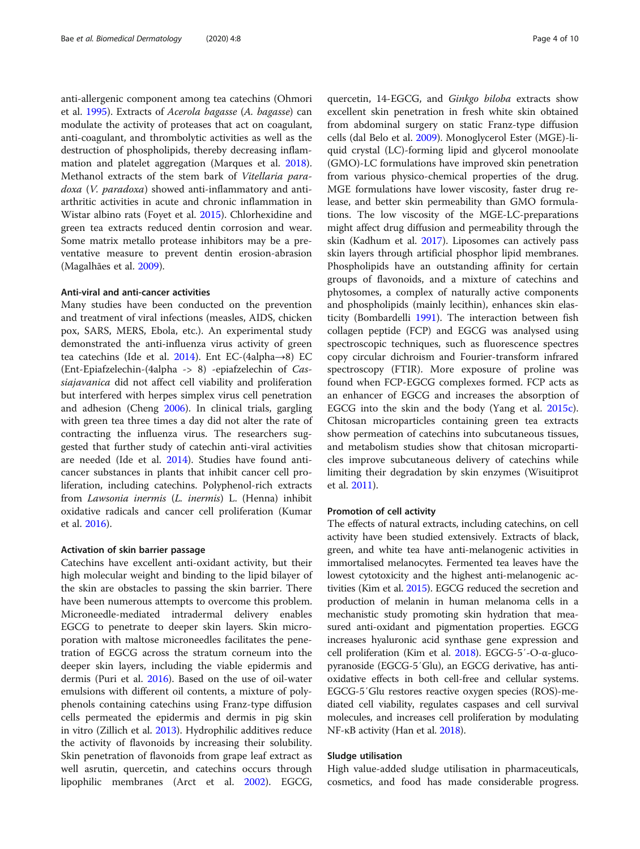anti-allergenic component among tea catechins (Ohmori et al. [1995\)](#page-8-0). Extracts of Acerola bagasse (A. bagasse) can modulate the activity of proteases that act on coagulant, anti-coagulant, and thrombolytic activities as well as the destruction of phospholipids, thereby decreasing inflammation and platelet aggregation (Marques et al. [2018](#page-8-0)). Methanol extracts of the stem bark of Vitellaria paradoxa (V. paradoxa) showed anti-inflammatory and antiarthritic activities in acute and chronic inflammation in Wistar albino rats (Foyet et al. [2015\)](#page-8-0). Chlorhexidine and green tea extracts reduced dentin corrosion and wear. Some matrix metallo protease inhibitors may be a preventative measure to prevent dentin erosion-abrasion (Magalhães et al. [2009](#page-8-0)).

#### Anti-viral and anti-cancer activities

Many studies have been conducted on the prevention and treatment of viral infections (measles, AIDS, chicken pox, SARS, MERS, Ebola, etc.). An experimental study demonstrated the anti-influenza virus activity of green tea catechins (Ide et al. [2014\)](#page-8-0). Ent EC-(4alpha→8) EC (Ent-Epiafzelechin-(4alpha -> 8) -epiafzelechin of Cassiajavanica did not affect cell viability and proliferation but interfered with herpes simplex virus cell penetration and adhesion (Cheng [2006](#page-7-0)). In clinical trials, gargling with green tea three times a day did not alter the rate of contracting the influenza virus. The researchers suggested that further study of catechin anti-viral activities are needed (Ide et al. [2014\)](#page-8-0). Studies have found anticancer substances in plants that inhibit cancer cell proliferation, including catechins. Polyphenol-rich extracts from Lawsonia inermis (L. inermis) L. (Henna) inhibit oxidative radicals and cancer cell proliferation (Kumar et al. [2016\)](#page-8-0).

# Activation of skin barrier passage

Catechins have excellent anti-oxidant activity, but their high molecular weight and binding to the lipid bilayer of the skin are obstacles to passing the skin barrier. There have been numerous attempts to overcome this problem. Microneedle-mediated intradermal delivery enables EGCG to penetrate to deeper skin layers. Skin microporation with maltose microneedles facilitates the penetration of EGCG across the stratum corneum into the deeper skin layers, including the viable epidermis and dermis (Puri et al. [2016\)](#page-8-0). Based on the use of oil-water emulsions with different oil contents, a mixture of polyphenols containing catechins using Franz-type diffusion cells permeated the epidermis and dermis in pig skin in vitro (Zillich et al. [2013](#page-9-0)). Hydrophilic additives reduce the activity of flavonoids by increasing their solubility. Skin penetration of flavonoids from grape leaf extract as well asrutin, quercetin, and catechins occurs through lipophilic membranes (Arct et al. [2002](#page-7-0)). EGCG,

quercetin, 14-EGCG, and Ginkgo biloba extracts show excellent skin penetration in fresh white skin obtained from abdominal surgery on static Franz-type diffusion cells (dal Belo et al. [2009\)](#page-7-0). Monoglycerol Ester (MGE)-liquid crystal (LC)-forming lipid and glycerol monoolate (GMO)-LC formulations have improved skin penetration from various physico-chemical properties of the drug. MGE formulations have lower viscosity, faster drug release, and better skin permeability than GMO formulations. The low viscosity of the MGE-LC-preparations might affect drug diffusion and permeability through the skin (Kadhum et al. [2017\)](#page-8-0). Liposomes can actively pass skin layers through artificial phosphor lipid membranes. Phospholipids have an outstanding affinity for certain groups of flavonoids, and a mixture of catechins and phytosomes, a complex of naturally active components and phospholipids (mainly lecithin), enhances skin elasticity (Bombardelli [1991](#page-7-0)). The interaction between fish collagen peptide (FCP) and EGCG was analysed using spectroscopic techniques, such as fluorescence spectres copy circular dichroism and Fourier-transform infrared spectroscopy (FTIR). More exposure of proline was found when FCP-EGCG complexes formed. FCP acts as an enhancer of EGCG and increases the absorption of EGCG into the skin and the body (Yang et al. [2015c](#page-9-0)). Chitosan microparticles containing green tea extracts show permeation of catechins into subcutaneous tissues, and metabolism studies show that chitosan microparticles improve subcutaneous delivery of catechins while limiting their degradation by skin enzymes (Wisuitiprot et al. [2011\)](#page-9-0).

## Promotion of cell activity

The effects of natural extracts, including catechins, on cell activity have been studied extensively. Extracts of black, green, and white tea have anti-melanogenic activities in immortalised melanocytes. Fermented tea leaves have the lowest cytotoxicity and the highest anti-melanogenic activities (Kim et al. [2015\)](#page-8-0). EGCG reduced the secretion and production of melanin in human melanoma cells in a mechanistic study promoting skin hydration that measured anti-oxidant and pigmentation properties. EGCG increases hyaluronic acid synthase gene expression and cell proliferation (Kim et al. [2018\)](#page-8-0). EGCG-5′-O-α-glucopyranoside (EGCG-5′Glu), an EGCG derivative, has antioxidative effects in both cell-free and cellular systems. EGCG-5′Glu restores reactive oxygen species (ROS)-mediated cell viability, regulates caspases and cell survival molecules, and increases cell proliferation by modulating NF-κB activity (Han et al. [2018](#page-8-0)).

# Sludge utilisation

High value-added sludge utilisation in pharmaceuticals, cosmetics, and food has made considerable progress.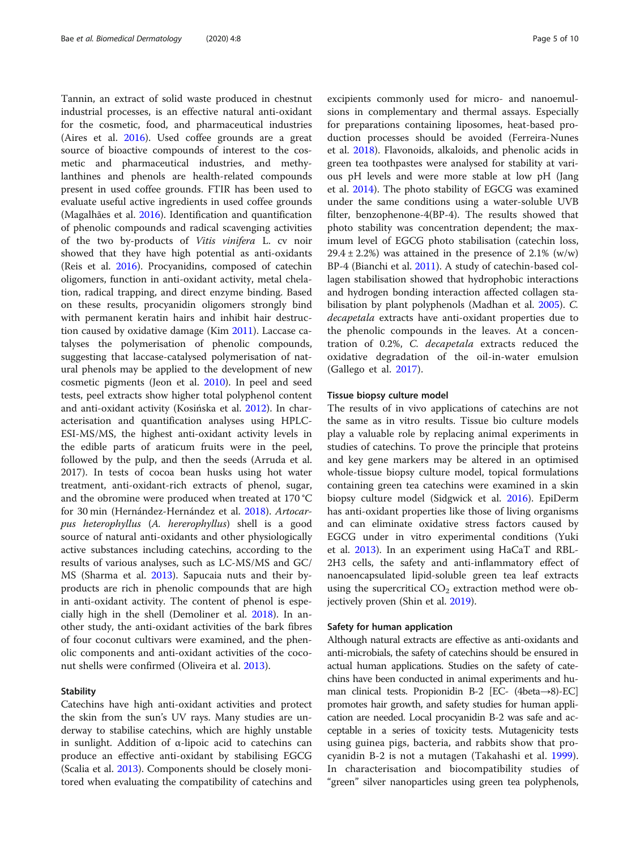Tannin, an extract of solid waste produced in chestnut industrial processes, is an effective natural anti-oxidant for the cosmetic, food, and pharmaceutical industries (Aires et al. [2016](#page-7-0)). Used coffee grounds are a great source of bioactive compounds of interest to the cosmetic and pharmaceutical industries, and methylanthines and phenols are health-related compounds present in used coffee grounds. FTIR has been used to evaluate useful active ingredients in used coffee grounds (Magalhães et al. [2016](#page-8-0)). Identification and quantification of phenolic compounds and radical scavenging activities of the two by-products of Vitis vinifera L. cv noir showed that they have high potential as anti-oxidants (Reis et al. [2016\)](#page-8-0). Procyanidins, composed of catechin oligomers, function in anti-oxidant activity, metal chelation, radical trapping, and direct enzyme binding. Based on these results, procyanidin oligomers strongly bind with permanent keratin hairs and inhibit hair destruction caused by oxidative damage (Kim [2011\)](#page-8-0). Laccase catalyses the polymerisation of phenolic compounds, suggesting that laccase-catalysed polymerisation of natural phenols may be applied to the development of new cosmetic pigments (Jeon et al. [2010\)](#page-8-0). In peel and seed tests, peel extracts show higher total polyphenol content and anti-oxidant activity (Kosińska et al. [2012](#page-8-0)). In characterisation and quantification analyses using HPLC-ESI-MS/MS, the highest anti-oxidant activity levels in the edible parts of araticum fruits were in the peel, followed by the pulp, and then the seeds (Arruda et al. 2017). In tests of cocoa bean husks using hot water treatment, anti-oxidant-rich extracts of phenol, sugar, and the obromine were produced when treated at 170 °C for 30 min (Hernández-Hernández et al. [2018](#page-8-0)). Artocarpus heterophyllus (A. hererophyllus) shell is a good source of natural anti-oxidants and other physiologically active substances including catechins, according to the results of various analyses, such as LC-MS/MS and GC/ MS (Sharma et al. [2013](#page-8-0)). Sapucaia nuts and their byproducts are rich in phenolic compounds that are high in anti-oxidant activity. The content of phenol is especially high in the shell (Demoliner et al. [2018](#page-7-0)). In another study, the anti-oxidant activities of the bark fibres of four coconut cultivars were examined, and the phenolic components and anti-oxidant activities of the coconut shells were confirmed (Oliveira et al. [2013\)](#page-8-0).

# Stability

Catechins have high anti-oxidant activities and protect the skin from the sun's UV rays. Many studies are underway to stabilise catechins, which are highly unstable in sunlight. Addition of α-lipoic acid to catechins can produce an effective anti-oxidant by stabilising EGCG (Scalia et al. [2013\)](#page-8-0). Components should be closely monitored when evaluating the compatibility of catechins and excipients commonly used for micro- and nanoemulsions in complementary and thermal assays. Especially for preparations containing liposomes, heat-based production processes should be avoided (Ferreira-Nunes et al. [2018\)](#page-8-0). Flavonoids, alkaloids, and phenolic acids in green tea toothpastes were analysed for stability at various pH levels and were more stable at low pH (Jang et al. [2014\)](#page-8-0). The photo stability of EGCG was examined under the same conditions using a water-soluble UVB filter, benzophenone-4(BP-4). The results showed that photo stability was concentration dependent; the maximum level of EGCG photo stabilisation (catechin loss,  $29.4 \pm 2.2\%$ ) was attained in the presence of 2.1% (w/w) BP-4 (Bianchi et al. [2011\)](#page-7-0). A study of catechin-based collagen stabilisation showed that hydrophobic interactions and hydrogen bonding interaction affected collagen stabilisation by plant polyphenols (Madhan et al. [2005\)](#page-8-0). C. decapetala extracts have anti-oxidant properties due to the phenolic compounds in the leaves. At a concentration of 0.2%, C. decapetala extracts reduced the oxidative degradation of the oil-in-water emulsion (Gallego et al. [2017](#page-8-0)).

#### Tissue biopsy culture model

The results of in vivo applications of catechins are not the same as in vitro results. Tissue bio culture models play a valuable role by replacing animal experiments in studies of catechins. To prove the principle that proteins and key gene markers may be altered in an optimised whole-tissue biopsy culture model, topical formulations containing green tea catechins were examined in a skin biopsy culture model (Sidgwick et al. [2016](#page-9-0)). EpiDerm has anti-oxidant properties like those of living organisms and can eliminate oxidative stress factors caused by EGCG under in vitro experimental conditions (Yuki et al. [2013\)](#page-9-0). In an experiment using HaCaT and RBL-2H3 cells, the safety and anti-inflammatory effect of nanoencapsulated lipid-soluble green tea leaf extracts using the supercritical  $CO<sub>2</sub>$  extraction method were objectively proven (Shin et al. [2019](#page-8-0)).

# Safety for human application

Although natural extracts are effective as anti-oxidants and anti-microbials, the safety of catechins should be ensured in actual human applications. Studies on the safety of catechins have been conducted in animal experiments and human clinical tests. Propionidin B-2 [EC- (4beta→8)-EC] promotes hair growth, and safety studies for human application are needed. Local procyanidin B-2 was safe and acceptable in a series of toxicity tests. Mutagenicity tests using guinea pigs, bacteria, and rabbits show that procyanidin B-2 is not a mutagen (Takahashi et al. [1999](#page-9-0)). In characterisation and biocompatibility studies of "green" silver nanoparticles using green tea polyphenols,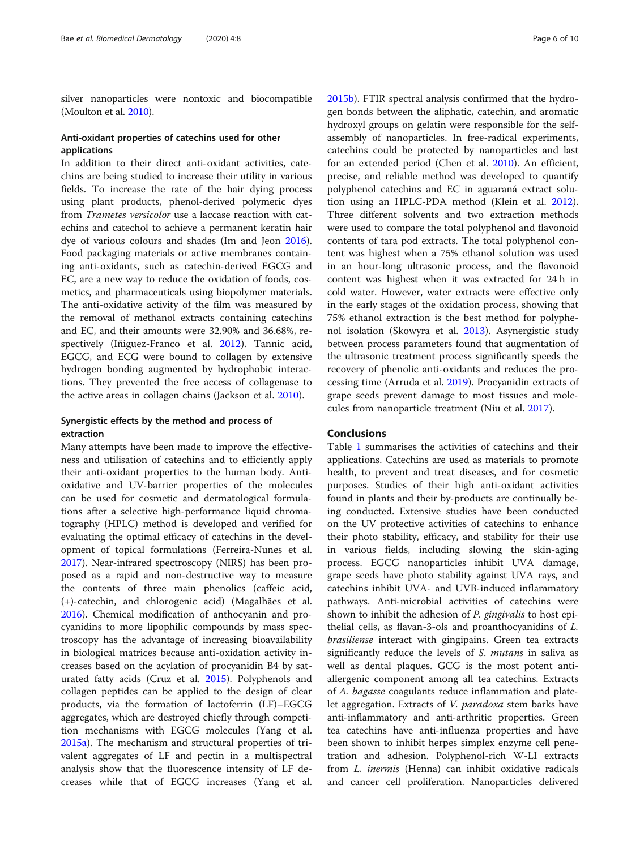silver nanoparticles were nontoxic and biocompatible (Moulton et al. [2010](#page-8-0)).

# Anti-oxidant properties of catechins used for other applications

In addition to their direct anti-oxidant activities, catechins are being studied to increase their utility in various fields. To increase the rate of the hair dying process using plant products, phenol-derived polymeric dyes from Trametes versicolor use a laccase reaction with catechins and catechol to achieve a permanent keratin hair dye of various colours and shades (Im and Jeon [2016](#page-8-0)). Food packaging materials or active membranes containing anti-oxidants, such as catechin-derived EGCG and EC, are a new way to reduce the oxidation of foods, cosmetics, and pharmaceuticals using biopolymer materials. The anti-oxidative activity of the film was measured by the removal of methanol extracts containing catechins and EC, and their amounts were 32.90% and 36.68%, respectively (Iñiguez-Franco et al. [2012](#page-8-0)). Tannic acid, EGCG, and ECG were bound to collagen by extensive hydrogen bonding augmented by hydrophobic interactions. They prevented the free access of collagenase to the active areas in collagen chains (Jackson et al. [2010](#page-8-0)).

# Synergistic effects by the method and process of extraction

Many attempts have been made to improve the effectiveness and utilisation of catechins and to efficiently apply their anti-oxidant properties to the human body. Antioxidative and UV-barrier properties of the molecules can be used for cosmetic and dermatological formulations after a selective high-performance liquid chromatography (HPLC) method is developed and verified for evaluating the optimal efficacy of catechins in the development of topical formulations (Ferreira-Nunes et al. [2017](#page-7-0)). Near-infrared spectroscopy (NIRS) has been proposed as a rapid and non-destructive way to measure the contents of three main phenolics (caffeic acid, (+)-catechin, and chlorogenic acid) (Magalhães et al. [2016](#page-8-0)). Chemical modification of anthocyanin and procyanidins to more lipophilic compounds by mass spectroscopy has the advantage of increasing bioavailability in biological matrices because anti-oxidation activity increases based on the acylation of procyanidin B4 by saturated fatty acids (Cruz et al. [2015\)](#page-7-0). Polyphenols and collagen peptides can be applied to the design of clear products, via the formation of lactoferrin (LF)–EGCG aggregates, which are destroyed chiefly through competition mechanisms with EGCG molecules (Yang et al. [2015a\)](#page-9-0). The mechanism and structural properties of trivalent aggregates of LF and pectin in a multispectral analysis show that the fluorescence intensity of LF decreases while that of EGCG increases (Yang et al. [2015b](#page-9-0)). FTIR spectral analysis confirmed that the hydrogen bonds between the aliphatic, catechin, and aromatic hydroxyl groups on gelatin were responsible for the selfassembly of nanoparticles. In free-radical experiments, catechins could be protected by nanoparticles and last for an extended period (Chen et al. [2010](#page-7-0)). An efficient, precise, and reliable method was developed to quantify polyphenol catechins and EC in aguaraná extract solution using an HPLC-PDA method (Klein et al. [2012](#page-8-0)). Three different solvents and two extraction methods were used to compare the total polyphenol and flavonoid contents of tara pod extracts. The total polyphenol content was highest when a 75% ethanol solution was used in an hour-long ultrasonic process, and the flavonoid content was highest when it was extracted for 24 h in cold water. However, water extracts were effective only in the early stages of the oxidation process, showing that 75% ethanol extraction is the best method for polyphenol isolation (Skowyra et al. [2013\)](#page-9-0). Asynergistic study between process parameters found that augmentation of the ultrasonic treatment process significantly speeds the recovery of phenolic anti-oxidants and reduces the processing time (Arruda et al. [2019\)](#page-7-0). Procyanidin extracts of grape seeds prevent damage to most tissues and molecules from nanoparticle treatment (Niu et al. [2017](#page-8-0)).

# Conclusions

Table [1](#page-6-0) summarises the activities of catechins and their applications. Catechins are used as materials to promote health, to prevent and treat diseases, and for cosmetic purposes. Studies of their high anti-oxidant activities found in plants and their by-products are continually being conducted. Extensive studies have been conducted on the UV protective activities of catechins to enhance their photo stability, efficacy, and stability for their use in various fields, including slowing the skin-aging process. EGCG nanoparticles inhibit UVA damage, grape seeds have photo stability against UVA rays, and catechins inhibit UVA- and UVB-induced inflammatory pathways. Anti-microbial activities of catechins were shown to inhibit the adhesion of P. gingivalis to host epithelial cells, as flavan-3-ols and proanthocyanidins of L. brasiliense interact with gingipains. Green tea extracts significantly reduce the levels of S. *mutans* in saliva as well as dental plaques. GCG is the most potent antiallergenic component among all tea catechins. Extracts of A. bagasse coagulants reduce inflammation and platelet aggregation. Extracts of *V. paradoxa* stem barks have anti-inflammatory and anti-arthritic properties. Green tea catechins have anti-influenza properties and have been shown to inhibit herpes simplex enzyme cell penetration and adhesion. Polyphenol-rich W-LI extracts from L. inermis (Henna) can inhibit oxidative radicals and cancer cell proliferation. Nanoparticles delivered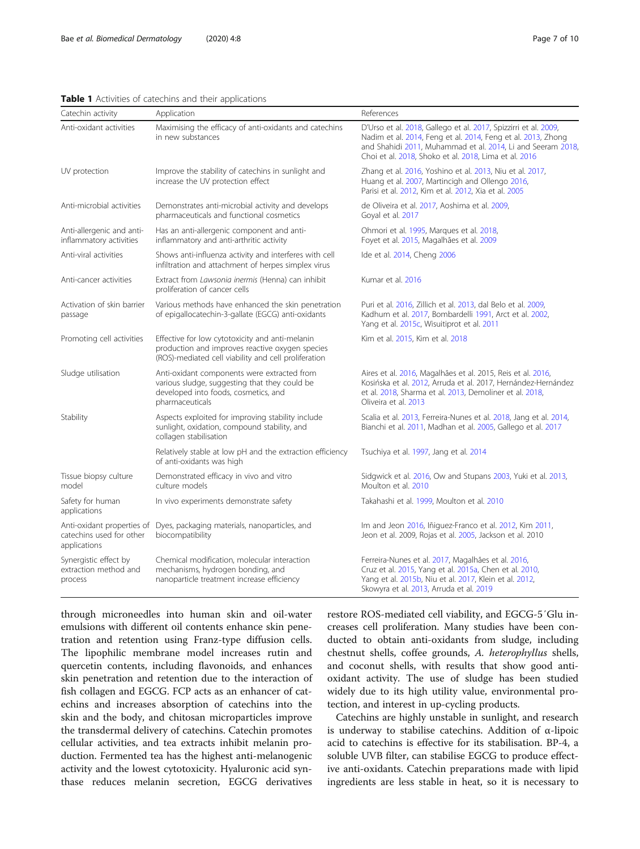#### <span id="page-6-0"></span>Table 1 Activities of catechins and their applications

| Catechin activity                                                      | Application                                                                                                                                                | References                                                                                                                                                                                                                                              |
|------------------------------------------------------------------------|------------------------------------------------------------------------------------------------------------------------------------------------------------|---------------------------------------------------------------------------------------------------------------------------------------------------------------------------------------------------------------------------------------------------------|
| Anti-oxidant activities                                                | Maximising the efficacy of anti-oxidants and catechins<br>in new substances                                                                                | D'Urso et al. 2018, Gallego et al. 2017, Spizzirri et al. 2009,<br>Nadim et al. 2014, Feng et al. 2014, Feng et al. 2013, Zhong<br>and Shahidi 2011, Muhammad et al. 2014, Li and Seeram 2018,<br>Choi et al. 2018, Shoko et al. 2018, Lima et al. 2016 |
| UV protection                                                          | Improve the stability of catechins in sunlight and<br>increase the UV protection effect                                                                    | Zhang et al. 2016, Yoshino et al. 2013, Niu et al. 2017,<br>Huang et al. 2007, Martincigh and Ollengo 2016,<br>Parisi et al. 2012, Kim et al. 2012, Xia et al. 2005                                                                                     |
| Anti-microbial activities                                              | Demonstrates anti-microbial activity and develops<br>pharmaceuticals and functional cosmetics                                                              | de Oliveira et al. 2017, Aoshima et al. 2009,<br>Goyal et al. 2017                                                                                                                                                                                      |
| Anti-allergenic and anti-<br>inflammatory activities                   | Has an anti-allergenic component and anti-<br>inflammatory and anti-arthritic activity                                                                     | Ohmori et al. 1995, Marques et al. 2018,<br>Foyet et al. 2015, Magalhães et al. 2009                                                                                                                                                                    |
| Anti-viral activities                                                  | Shows anti-influenza activity and interferes with cell<br>infiltration and attachment of herpes simplex virus                                              | Ide et al. 2014, Cheng 2006                                                                                                                                                                                                                             |
| Anti-cancer activities                                                 | Extract from Lawsonia inermis (Henna) can inhibit<br>proliferation of cancer cells                                                                         | Kumar et al. 2016                                                                                                                                                                                                                                       |
| Activation of skin barrier<br>passage                                  | Various methods have enhanced the skin penetration<br>of epigallocatechin-3-gallate (EGCG) anti-oxidants                                                   | Puri et al. 2016, Zillich et al. 2013, dal Belo et al. 2009,<br>Kadhum et al. 2017, Bombardelli 1991, Arct et al. 2002,<br>Yang et al. 2015c, Wisuitiprot et al. 2011                                                                                   |
| Promoting cell activities                                              | Effective for low cytotoxicity and anti-melanin<br>production and improves reactive oxygen species<br>(ROS)-mediated cell viability and cell proliferation | Kim et al. 2015, Kim et al. 2018                                                                                                                                                                                                                        |
| Sludge utilisation                                                     | Anti-oxidant components were extracted from<br>various sludge, suggesting that they could be<br>developed into foods, cosmetics, and<br>pharmaceuticals    | Aires et al. 2016, Magalhães et al. 2015, Reis et al. 2016,<br>Kosińska et al. 2012, Arruda et al. 2017, Hernández-Hernández<br>et al. 2018, Sharma et al. 2013, Demoliner et al. 2018,<br>Oliveira et al. 2013                                         |
| Stability                                                              | Aspects exploited for improving stability include<br>sunlight, oxidation, compound stability, and<br>collagen stabilisation                                | Scalia et al. 2013, Ferreira-Nunes et al. 2018, Jang et al. 2014,<br>Bianchi et al. 2011, Madhan et al. 2005, Gallego et al. 2017                                                                                                                       |
|                                                                        | Relatively stable at low pH and the extraction efficiency<br>of anti-oxidants was high                                                                     | Tsuchiya et al. 1997, Jang et al. 2014                                                                                                                                                                                                                  |
| Tissue biopsy culture<br>model                                         | Demonstrated efficacy in vivo and vitro<br>culture models                                                                                                  | Sidgwick et al. 2016, Ow and Stupans 2003, Yuki et al. 2013,<br>Moulton et al. 2010                                                                                                                                                                     |
| Safety for human<br>applications                                       | In vivo experiments demonstrate safety                                                                                                                     | Takahashi et al. 1999, Moulton et al. 2010                                                                                                                                                                                                              |
| Anti-oxidant properties of<br>catechins used for other<br>applications | Dyes, packaging materials, nanoparticles, and<br>biocompatibility                                                                                          | Im and Jeon 2016, Iñiquez-Franco et al. 2012, Kim 2011,<br>Jeon et al. 2009, Rojas et al. 2005, Jackson et al. 2010                                                                                                                                     |
| Synergistic effect by<br>extraction method and<br>process              | Chemical modification, molecular interaction<br>mechanisms, hydrogen bonding, and<br>nanoparticle treatment increase efficiency                            | Ferreira-Nunes et al. 2017, Magalhães et al. 2016,<br>Cruz et al. 2015, Yang et al. 2015a, Chen et al. 2010,<br>Yang et al. 2015b, Niu et al. 2017, Klein et al. 2012,<br>Skowyra et al. 2013, Arruda et al. 2019                                       |

through microneedles into human skin and oil-water emulsions with different oil contents enhance skin penetration and retention using Franz-type diffusion cells. The lipophilic membrane model increases rutin and quercetin contents, including flavonoids, and enhances skin penetration and retention due to the interaction of fish collagen and EGCG. FCP acts as an enhancer of catechins and increases absorption of catechins into the skin and the body, and chitosan microparticles improve the transdermal delivery of catechins. Catechin promotes cellular activities, and tea extracts inhibit melanin production. Fermented tea has the highest anti-melanogenic activity and the lowest cytotoxicity. Hyaluronic acid synthase reduces melanin secretion, EGCG derivatives

restore ROS-mediated cell viability, and EGCG-5′Glu increases cell proliferation. Many studies have been conducted to obtain anti-oxidants from sludge, including chestnut shells, coffee grounds, A. heterophyllus shells, and coconut shells, with results that show good antioxidant activity. The use of sludge has been studied widely due to its high utility value, environmental protection, and interest in up-cycling products.

Catechins are highly unstable in sunlight, and research is underway to stabilise catechins. Addition of α-lipoic acid to catechins is effective for its stabilisation. BP-4, a soluble UVB filter, can stabilise EGCG to produce effective anti-oxidants. Catechin preparations made with lipid ingredients are less stable in heat, so it is necessary to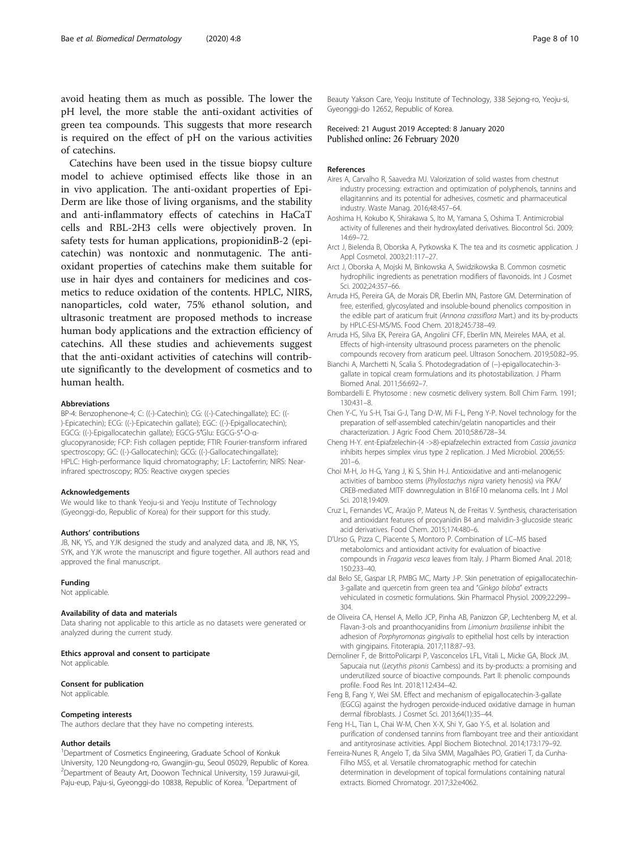<span id="page-7-0"></span>avoid heating them as much as possible. The lower the pH level, the more stable the anti-oxidant activities of green tea compounds. This suggests that more research is required on the effect of pH on the various activities of catechins.

Catechins have been used in the tissue biopsy culture model to achieve optimised effects like those in an in vivo application. The anti-oxidant properties of Epi-Derm are like those of living organisms, and the stability and anti-inflammatory effects of catechins in HaCaT cells and RBL-2H3 cells were objectively proven. In safety tests for human applications, propionidinB-2 (epicatechin) was nontoxic and nonmutagenic. The antioxidant properties of catechins make them suitable for use in hair dyes and containers for medicines and cosmetics to reduce oxidation of the contents. HPLC, NIRS, nanoparticles, cold water, 75% ethanol solution, and ultrasonic treatment are proposed methods to increase human body applications and the extraction efficiency of catechins. All these studies and achievements suggest that the anti-oxidant activities of catechins will contribute significantly to the development of cosmetics and to human health.

#### Abbreviations

BP-4: Benzophenone-4; C: ((-)-Catechin); CG: ((-)-Catechingallate); EC: ((- )-Epicatechin); ECG: ((-)-Epicatechin gallate); EGC: ((-)-Epigallocatechin); EGCG: ((-)-Epigallocatechin gallate); EGCG-5′Glu: EGCG-5′-O-αglucopyranoside; FCP: Fish collagen peptide; FTIR: Fourier-transform infrared spectroscopy; GC: ((-)-Gallocatechin); GCG: ((-)-Gallocatechingallate); HPLC: High-performance liquid chromatography; LF: Lactoferrin; NIRS: Nearinfrared spectroscopy; ROS: Reactive oxygen species

#### Acknowledgements

We would like to thank Yeoju-si and Yeoju Institute of Technology (Gyeonggi-do, Republic of Korea) for their support for this study.

#### Authors' contributions

JB, NK, YS, and YJK designed the study and analyzed data, and JB, NK, YS, SYK, and YJK wrote the manuscript and figure together. All authors read and approved the final manuscript.

#### Funding

Not applicable.

# Availability of data and materials

Data sharing not applicable to this article as no datasets were generated or analyzed during the current study.

#### Ethics approval and consent to participate

Not applicable.

# Consent for publication

Not applicable.

#### Competing interests

The authors declare that they have no competing interests.

# Author details

<sup>1</sup>Department of Cosmetics Engineering, Graduate School of Konkuk University, 120 Neungdong-ro, Gwangjin-gu, Seoul 05029, Republic of Korea. 2 Department of Beauty Art, Doowon Technical University, 159 Jurawui-gil, Paju-eup, Paju-si, Gyeonggi-do 10838, Republic of Korea. <sup>3</sup>Department of

Beauty Yakson Care, Yeoju Institute of Technology, 338 Sejong-ro, Yeoju-si, Gyeonggi-do 12652, Republic of Korea.

Received: 21 August 2019 Accepted: 8 January 2020 Published online: 26 February 2020

# References

- Aires A, Carvalho R, Saavedra MJ. Valorization of solid wastes from chestnut industry processing: extraction and optimization of polyphenols, tannins and ellagitannins and its potential for adhesives, cosmetic and pharmaceutical industry. Waste Manag. 2016;48:457–64.
- Aoshima H, Kokubo K, Shirakawa S, Ito M, Yamana S, Oshima T. Antimicrobial activity of fullerenes and their hydroxylated derivatives. Biocontrol Sci. 2009; 14:69–72.
- Arct J, Bielenda B, Oborska A, Pytkowska K. The tea and its cosmetic application. J Appl Cosmetol. 2003;21:117–27.
- Arct J, Oborska A, Mojski M, Binkowska A, Swidzikowska B. Common cosmetic hydrophilic ingredients as penetration modifiers of flavonoids. Int J Cosmet Sci. 2002;24:357–66.
- Arruda HS, Pereira GA, de Morais DR, Eberlin MN, Pastore GM. Determination of free, esterified, glycosylated and insoluble-bound phenolics composition in the edible part of araticum fruit (Annona crassiflora Mart.) and its by-products by HPLC-ESI-MS/MS. Food Chem. 2018;245:738–49.
- Arruda HS, Silva EK, Pereira GA, Angolini CFF, Eberlin MN, Meireles MAA, et al. Effects of high-intensity ultrasound process parameters on the phenolic compounds recovery from araticum peel. Ultrason Sonochem. 2019;50:82–95.
- Bianchi A, Marchetti N, Scalia S. Photodegradation of (−)-epigallocatechin-3 gallate in topical cream formulations and its photostabilization. J Pharm Biomed Anal. 2011;56:692–7.
- Bombardelli E. Phytosome : new cosmetic delivery system. Boll Chim Farm. 1991; 130:431–8.
- Chen Y-C, Yu S-H, Tsai G-J, Tang D-W, Mi F-L, Peng Y-P. Novel technology for the preparation of self-assembled catechin/gelatin nanoparticles and their characterization. J Agric Food Chem. 2010;58:6728–34.
- Cheng H-Y. ent-Epiafzelechin-(4 ->8)-epiafzelechin extracted from Cassia javanica inhibits herpes simplex virus type 2 replication. J Med Microbiol. 2006;55: 201–6.
- Choi M-H, Jo H-G, Yang J, Ki S, Shin H-J. Antioxidative and anti-melanogenic activities of bamboo stems (Phyllostachys nigra variety henosis) via PKA/ CREB-mediated MITF downregulation in B16F10 melanoma cells. Int J Mol Sci. 2018;19:409.
- Cruz L, Fernandes VC, Araújo P, Mateus N, de Freitas V. Synthesis, characterisation and antioxidant features of procyanidin B4 and malvidin-3-glucoside stearic acid derivatives. Food Chem. 2015;174:480–6.
- D'Urso G, Pizza C, Piacente S, Montoro P. Combination of LC–MS based metabolomics and antioxidant activity for evaluation of bioactive compounds in Fragaria vesca leaves from Italy. J Pharm Biomed Anal. 2018; 150:233–40.
- dal Belo SE, Gaspar LR, PMBG MC, Marty J-P. Skin penetration of epigallocatechin-3-gallate and quercetin from green tea and "Ginkgo biloba" extracts vehiculated in cosmetic formulations. Skin Pharmacol Physiol. 2009;22:299– 304.
- de Oliveira CA, Hensel A, Mello JCP, Pinha AB, Panizzon GP, Lechtenberg M, et al. Flavan-3-ols and proanthocyanidins from Limonium brasiliense inhibit the adhesion of Porphyromonas gingivalis to epithelial host cells by interaction with gingipains. Fitoterapia. 2017;118:87–93.
- Demoliner F, de BrittoPolicarpi P, Vasconcelos LFL, Vitali L, Micke GA, Block JM. Sapucaia nut (Lecythis pisonis Cambess) and its by-products: a promising and underutilized source of bioactive compounds. Part II: phenolic compounds profile. Food Res Int. 2018;112:434–42.
- Feng B, Fang Y, Wei SM. Effect and mechanism of epigallocatechin-3-gallate (EGCG) against the hydrogen peroxide-induced oxidative damage in human dermal fibroblasts. J Cosmet Sci. 2013;64(1):35–44.
- Feng H-L, Tian L, Chai W-M, Chen X-X, Shi Y, Gao Y-S, et al. Isolation and purification of condensed tannins from flamboyant tree and their antioxidant and antityrosinase activities. Appl Biochem Biotechnol. 2014;173:179–92.
- Ferreira-Nunes R, Angelo T, da Silva SMM, Magalhães PO, Gratieri T, da Cunha-Filho MSS, et al. Versatile chromatographic method for catechin determination in development of topical formulations containing natural extracts. Biomed Chromatogr. 2017;32:e4062.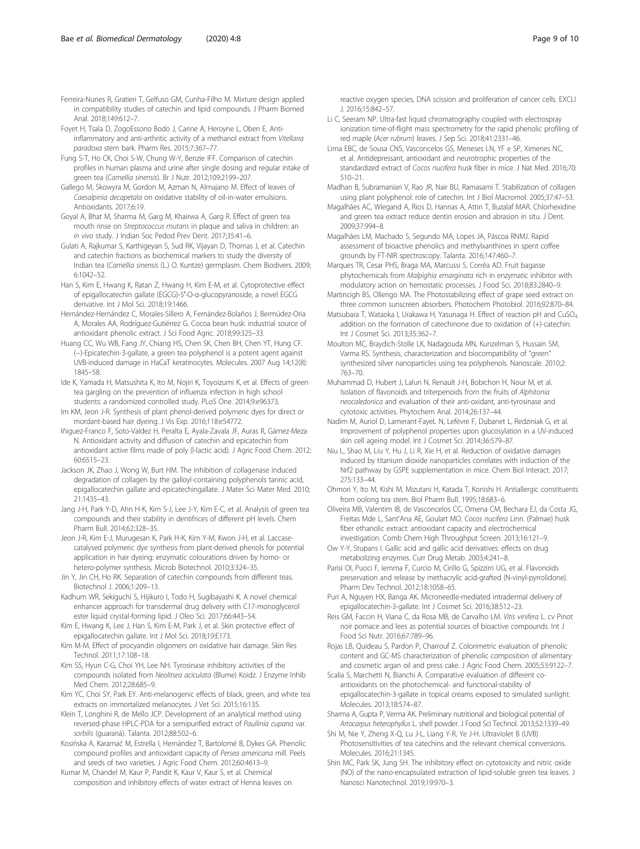<span id="page-8-0"></span>Foyet H, Tsala D, ZogoEssono Bodo J, Carine A, Heroyne L, Oben E. Antiinflammatory and anti-arthritic activity of a methanol extract from Vitellaria paradoxa stem bark. Pharm Res. 2015;7:367–77.

- Fung S-T, Ho CK, Choi S-W, Chung W-Y, Benzie IFF. Comparison of catechin profiles in human plasma and urine after single dosing and regular intake of green tea (Camellia sinensis). Br J Nutr. 2012;109:2199–207.
- Gallego M, Skowyra M, Gordon M, Azman N, Almajano M. Effect of leaves of Caesalpinia decapetala on oxidative stability of oil-in-water emulsions. Antioxidants. 2017;6:19.
- Goyal A, Bhat M, Sharma M, Garg M, Khairwa A, Garg R. Effect of green tea mouth rinse on Streptococcus mutans in plaque and saliva in children: an in vivo study. J Indian Soc Pedod Prev Dent. 2017;35:41–6.
- Gulati A, Rajkumar S, Karthigeyan S, Sud RK, Vijayan D, Thomas J, et al. Catechin and catechin fractions as biochemical markers to study the diversity of Indian tea (Camellia sinensis (L.) O. Kuntze) germplasm. Chem Biodivers. 2009; 6:1042–52.
- Han S, Kim E, Hwang K, Ratan Z, Hwang H, Kim E-M, et al. Cytoprotective effect of epigallocatechin gallate (EGCG)-5′-O-α-glucopyranoside, a novel EGCG derivative. Int J Mol Sci. 2018;19:1466.
- Hernández-Hernández C, Morales-Sillero A, Fernández-Bolaños J, Bermúdez-Oria A, Morales AA, Rodríguez-Gutiérrez G. Cocoa bean husk: industrial source of antioxidant phenolic extract. J Sci Food Agric. 2018;99:325–33.
- Huang CC, Wu WB, Fang JY, Chiang HS, Chen SK, Chen BH, Chen YT, Hung CF. (−)-Epicatechin-3-gallate, a green tea polyphenol is a potent agent against UVB-induced damage in HaCaT keratinocytes. Molecules. 2007 Aug 14;12(8): 1845–58.
- Ide K, Yamada H, Matsushita K, Ito M, Nojiri K, Toyoizumi K, et al. Effects of green tea gargling on the prevention of influenza infection in high school students: a randomized controlled study. PLoS One. 2014;9:e96373.
- Im KM, Jeon J-R. Synthesis of plant phenol-derived polymeric dyes for direct or mordant-based hair dyeing. J Vis Exp. 2016;118:e54772.
- Iñiguez-Franco F, Soto-Valdez H, Peralta E, Ayala-Zavala JF, Auras R, Gámez-Meza N. Antioxidant activity and diffusion of catechin and epicatechin from antioxidant active films made of poly (l-lactic acid). J Agric Food Chem. 2012; 60:6515–23.
- Jackson JK, Zhao J, Wong W, Burt HM. The inhibition of collagenase induced degradation of collagen by the galloyl-containing polyphenols tannic acid, epigallocatechin gallate and epicatechingallate. J Mater Sci Mater Med. 2010; 21:1435–43.
- Jang J-H, Park Y-D, Ahn H-K, Kim S-J, Lee J-Y, Kim E-C, et al. Analysis of green tea compounds and their stability in dentifrices of different pH levels. Chem Pharm Bull. 2014;62:328–35.
- Jeon J-R, Kim E-J, Murugesan K, Park H-K, Kim Y-M, Kwon J-H, et al. Laccasecatalysed polymeric dye synthesis from plant-derived phenols for potential application in hair dyeing: enzymatic colourations driven by homo- or hetero-polymer synthesis. Microb Biotechnol. 2010;3:324–35.
- Jin Y, Jin CH, Ho RK. Separation of catechin compounds from different teas. Biotechnol J. 2006;1:209–13.
- Kadhum WR, Sekiguchi S, Hijikuro I, Todo H, Sugibayashi K. A novel chemical enhancer approach for transdermal drug delivery with C17-monoglycerol ester liquid crystal-forming lipid. J Oleo Sci. 2017;66:443–54.
- Kim E, Hwang K, Lee J, Han S, Kim E-M, Park J, et al. Skin protective effect of epigallocatechin gallate. Int J Mol Sci. 2018;19:E173.
- Kim M-M. Effect of procyandin oligomers on oxidative hair damage. Skin Res Technol. 2011;17:108–18.
- Kim SS, Hyun C-G, Choi YH, Lee NH. Tyrosinase inhibitory activities of the compounds isolated from Neolitsea aciculata (Blume) Koidz. J Enzyme Inhib Med Chem. 2012;28:685–9.
- Kim YC, Choi SY, Park EY. Anti-melanogenic effects of black, green, and white tea extracts on immortalized melanocytes. J Vet Sci. 2015;16:135.
- Klein T, Longhini R, de Mello JCP. Development of an analytical method using reversed-phase HPLC-PDA for a semipurified extract of Paullinia cupana var. sorbilis (guaraná). Talanta. 2012;88:502–6.
- Kosińska A, Karamać M, Estrella I, Hernández T, Bartolomé B, Dykes GA. Phenolic compound profiles and antioxidant capacity of Persea americana mill. Peels and seeds of two varieties. J Agric Food Chem. 2012;60:4613–9.
- Kumar M, Chandel M, Kaur P, Pandit K, Kaur V, Kaur S, et al. Chemical composition and inhibitory effects of water extract of Henna leaves on

reactive oxygen species, DNA scission and proliferation of cancer cells. EXCLI J. 2016;15:842–57.

- Li C, Seeram NP. Ultra-fast liquid chromatography coupled with electrospray ionization time-of-flight mass spectrometry for the rapid phenolic profiling of red maple (Acer rubrum) leaves. J Sep Sci. 2018;41:2331–46.
- Lima EBC, de Sousa CNS, Vasconcelos GS, Meneses LN, YF e SP, Ximenes NC, et al. Antidepressant, antioxidant and neurotrophic properties of the standardized extract of Cocos nucifera husk fiber in mice. J Nat Med. 2016;70: 510–21.
- Madhan B, Subramanian V, Rao JR, Nair BU, Ramasami T. Stabilization of collagen using plant polyphenol: role of catechin. Int J Biol Macromol. 2005;37:47–53.
- Magalhães AC, Wiegand A, Rios D, Hannas A, Attin T, Buzalaf MAR. Chlorhexidine and green tea extract reduce dentin erosion and abrasion in situ. J Dent. 2009;37:994–8.
- Magalhães LM, Machado S, Segundo MA, Lopes JA, Páscoa RNMJ. Rapid assessment of bioactive phenolics and methylxanthines in spent coffee grounds by FT-NIR spectroscopy. Talanta. 2016;147:460–7.
- Marques TR, Cesar PHS, Braga MA, Marcussi S, Corrêa AD. Fruit bagasse phytochemicals from Malpighia emarginata rich in enzymatic inhibitor with modulatory action on hemostatic processes. J Food Sci. 2018;83:2840–9.
- Martincigh BS, Ollengo MA. The Photostabilizing effect of grape seed extract on three common sunscreen absorbers. Photochem Photobiol. 2016;92:870–84.
- Matsubara T, Wataoka I, Urakawa H, Yasunaga H. Effect of reaction pH and CuSO<sub>4</sub> addition on the formation of catechinone due to oxidation of (+)-catechin. Int J Cosmet Sci. 2013;35:362–7.
- Moulton MC, Braydich-Stolle LK, Nadagouda MN, Kunzelman S, Hussain SM, Varma RS. Synthesis, characterization and biocompatibility of "green" synthesized silver nanoparticles using tea polyphenols. Nanoscale. 2010;2: 763–70.
- Muhammad D, Hubert J, Lalun N, Renault J-H, Bobichon H, Nour M, et al. Isolation of flavonoids and triterpenoids from the fruits of Alphitonia neocaledonica and evaluation of their anti-oxidant, anti-tyrosinase and cytotoxic activities. Phytochem Anal. 2014;26:137–44.
- Nadim M, Auriol D, Lamerant-FayeL N, Lefèvre F, Dubanet L, Redziniak G, et al. Improvement of polyphenol properties upon glucosylation in a UV-induced skin cell ageing model. Int J Cosmet Sci. 2014;36:579–87.
- Niu L, Shao M, Liu Y, Hu J, Li R, Xie H, et al. Reduction of oxidative damages induced by titanium dioxide nanoparticles correlates with induction of the Nrf2 pathway by GSPE supplementation in mice. Chem Biol Interact. 2017; 275:133–44.
- Ohmori Y, Ito M, Kishi M, Mizutani H, Katada T, Konishi H. Antiallergic constituents from oolong tea stem. Biol Pharm Bull. 1995;18:683–6.
- Oliveira MB, Valentim IB, de Vasconcelos CC, Omena CM, Bechara EJ, da Costa JG, Freitas Mde L, Sant'Ana AE, Goulart MO. Cocos nucifera Linn. (Palmae) husk fiber ethanolic extract: antioxidant capacity and electrochemical investigation. Comb Chem High Throughput Screen. 2013;16:121–9.
- Ow Y-Y, Stupans I. Gallic acid and gallic acid derivatives: effects on drug metabolizing enzymes. Curr Drug Metab. 2003;4:241–8.
- Parisi OI, Puoci F, Iemma F, Curcio M, Cirillo G, Spizzirri UG, et al. Flavonoids preservation and release by methacrylic acid-grafted (N-vinyl-pyrrolidone). Pharm Dev Technol. 2012;18:1058–65.
- Puri A, Nguyen HX, Banga AK. Microneedle-mediated intradermal delivery of epigallocatechin-3-gallate. Int J Cosmet Sci. 2016;38:512–23.
- Reis GM, Faccin H, Viana C, da Rosa MB, de Carvalho LM. Vitis vinifera L. cv Pinot noir pomace and lees as potential sources of bioactive compounds. Int J Food Sci Nutr. 2016;67:789–96.
- Rojas LB, Quideau S, Pardon P, Charrouf Z. Colorimetric evaluation of phenolic content and GC-MS characterization of phenolic composition of alimentary and cosmetic argan oil and press cake. J Agric Food Chem. 2005;53:9122–7.
- Scalia S, Marchetti N, Bianchi A. Comparative evaluation of different coantioxidants on the photochemical- and functional-stability of epigallocatechin-3-gallate in topical creams exposed to simulated sunlight. Molecules. 2013;18:574–87.
- Sharma A, Gupta P, Verma AK. Preliminary nutritional and biological potential of Artocarpus heterophyllus L. shell powder. J Food Sci Technol. 2013;52:1339–49.
- Shi M, Nie Y, Zheng X-Q, Lu J-L, Liang Y-R, Ye J-H. Ultraviolet B (UVB) Photosensitivities of tea catechins and the relevant chemical conversions. Molecules. 2016;21:1345.
- Shin MC, Park SK, Jung SH. The inhibitory effect on cytotoxicity and nitric oxide (NO) of the nano-encapsulated extraction of lipid-soluble green tea leaves. J Nanosci Nanotechnol. 2019;19:970–3.